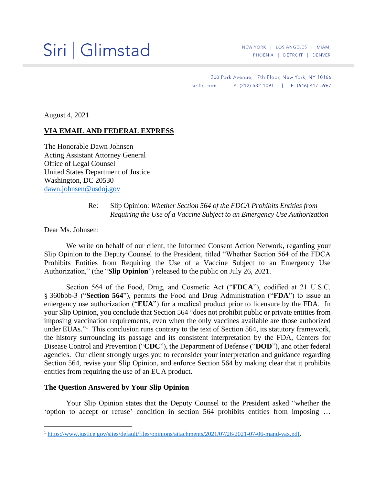# Siri | Glimstad

200 Park Avenue, 17th Floor, New York, NY 10166 sirillp.com | P: (212) 532-1091 | F: (646) 417-5967

August 4, 2021

## **VIA EMAIL AND FEDERAL EXPRESS**

The Honorable Dawn Johnsen Acting Assistant Attorney General Office of Legal Counsel United States Department of Justice Washington, DC 20530 [dawn.johnsen@usdoj.gov](mailto:dawn.johnsen@usdoj.gov)

# Re: Slip Opinion: *Whether Section 564 of the FDCA Prohibits Entities from Requiring the Use of a Vaccine Subject to an Emergency Use Authorization*

Dear Ms. Johnsen:

We write on behalf of our client, the Informed Consent Action Network, regarding your Slip Opinion to the Deputy Counsel to the President, titled "Whether Section 564 of the FDCA Prohibits Entities from Requiring the Use of a Vaccine Subject to an Emergency Use Authorization," (the "**Slip Opinion**") released to the public on July 26, 2021.

Section 564 of the Food, Drug, and Cosmetic Act ("**FDCA**"), codified at 21 U.S.C. § 360bbb-3 ("**Section 564**"), permits the Food and Drug Administration ("**FDA**") to issue an emergency use authorization ("**EUA**") for a medical product prior to licensure by the FDA. In your Slip Opinion, you conclude that Section 564 "does not prohibit public or private entities from imposing vaccination requirements, even when the only vaccines available are those authorized under EUAs."<sup>1</sup> This conclusion runs contrary to the text of Section 564, its statutory framework, the history surrounding its passage and its consistent interpretation by the FDA, Centers for Disease Control and Prevention ("**CDC**"), the Department of Defense ("**DOD**"), and other federal agencies. Our client strongly urges you to reconsider your interpretation and guidance regarding Section 564, revise your Slip Opinion, and enforce Section 564 by making clear that it prohibits entities from requiring the use of an EUA product.

#### **The Question Answered by Your Slip Opinion**

Your Slip Opinion states that the Deputy Counsel to the President asked "whether the 'option to accept or refuse' condition in section 564 prohibits entities from imposing …

<sup>1</sup> [https://www.justice.gov/sites/default/files/opinions/attachments/2021/07/26/2021-07-06-mand-vax.pdf.](https://www.justice.gov/sites/default/files/opinions/attachments/2021/07/26/2021-07-06-mand-vax.pdf)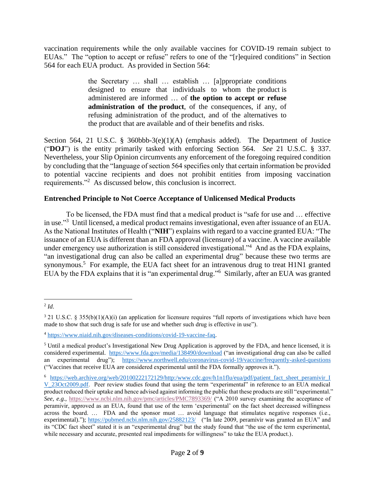vaccination requirements while the only available vaccines for COVID-19 remain subject to EUAs." The "option to accept or refuse" refers to one of the "[r] equired conditions" in Section 564 for each EUA product. As provided in Section 564:

> the Secretary … shall … establish … [a]ppropriate conditions designed to ensure that individuals to whom the [product](https://www.law.cornell.edu/definitions/uscode.php?width=840&height=800&iframe=true&def_id=21-USC-309474065-1242874613&term_occur=999&term_src=title:21:chapter:9:subchapter:V:part:E:section:360bbb%E2%80%933) is administered are informed … of **the option to accept or refuse administration of the [product](https://www.law.cornell.edu/definitions/uscode.php?width=840&height=800&iframe=true&def_id=21-USC-309474065-1242874613&term_occur=999&term_src=title:21:chapter:9:subchapter:V:part:E:section:360bbb%E2%80%933)**, of the consequences, if any, of refusing administration of the [product,](https://www.law.cornell.edu/definitions/uscode.php?width=840&height=800&iframe=true&def_id=21-USC-309474065-1242874613&term_occur=999&term_src=title:21:chapter:9:subchapter:V:part:E:section:360bbb%E2%80%933) and of the alternatives to the [product](https://www.law.cornell.edu/definitions/uscode.php?width=840&height=800&iframe=true&def_id=21-USC-309474065-1242874613&term_occur=999&term_src=title:21:chapter:9:subchapter:V:part:E:section:360bbb%E2%80%933) that are available and of their benefits and risks.

Section 564, 21 U.S.C. § 360bbb-3(e)(1)(A) (emphasis added). The Department of Justice ("**DOJ**") is the entity primarily tasked with enforcing Section 564. *See* 21 U.S.C. § 337. Nevertheless, your Slip Opinion circumvents any enforcement of the foregoing required condition by concluding that the "language of section 564 specifies only that certain information be provided to potential vaccine recipients and does not prohibit entities from imposing vaccination requirements."<sup>2</sup> As discussed below, this conclusion is incorrect.

# **Entrenched Principle to Not Coerce Acceptance of Unlicensed Medical Products**

To be licensed, the FDA must find that a medical product is "safe for use and … effective in use."<sup>3</sup> Until licensed, a medical product remains investigational, even after issuance of an EUA. As the National Institutes of Health ("**NIH**") explains with regard to a vaccine granted EUA: "The issuance of an EUA is different than an FDA approval (licensure) of a vaccine. A vaccine available under emergency use authorization is still considered investigational."<sup>4</sup> And as the FDA explains, "an investigational drug can also be called an experimental drug" because these two terms are synonymous.<sup>5</sup> For example, the EUA fact sheet for an intravenous drug to treat H1N1 granted EUA by the FDA explains that it is "an experimental drug."<sup>6</sup> Similarly, after an EUA was granted

<sup>2</sup> *[Id](https://www.justice.gov/sites/default/files/opinions/attachments/2021/07/26/2021-07-06-mand-vax.pdf)*.

 $3$  21 U.S.C. § 355(b)(1)(A)(i) (an application for licensure requires "full reports of investigations which have been made to show that such drug is safe for use and whether such drug is effective in use").

<sup>4</sup> [https://www.niaid.nih.gov/diseases-conditions/covid-19-vaccine-faq.](https://www.niaid.nih.gov/diseases-conditions/covid-19-vaccine-faq)

<sup>5</sup> Until a medical product's Investigational New Drug Application is approved by the FDA, and hence licensed, it is considered experimental. <https://www.fda.gov/media/138490/download> ("an investigational drug can also be called an experimental drug"); <https://www.northwell.edu/coronavirus-covid-19/vaccine/frequently-asked-questions> ("Vaccines that receive EUA are considered experimental until the FDA formally approves it.").

<sup>6</sup> [https://web.archive.org/web/20100222172129/http:/www.cdc.gov/h1n1flu/eua/pdf/patient\\_fact\\_sheet\\_peramivir\\_I](https://web.archive.org/web/20100222172129/http:/www.cdc.gov/h1n1flu/eua/pdf/patient_fact_sheet_peramivir_I‌V_23Oct2009.pdf) [V\\_23Oct2009.pdf.](https://web.archive.org/web/20100222172129/http:/www.cdc.gov/h1n1flu/eua/pdf/patient_fact_sheet_peramivir_I‌V_23Oct2009.pdf) Peer review studies found that using the term "experimental" in reference to an EUA medical product reduced their uptake and hence advised against informing the public that these products are still "experimental." *See*, *e.g.*,<https://www.ncbi.nlm.nih.gov/pmc/articles/PMC7893369/> ("A 2010 survey examining the acceptance of peramivir, approved as an EUA, found that use of the term 'experimental' on the fact sheet decreased willingness across the board. … FDA and the sponsor must … avoid language that stimulates negative responses (i.e., experimental)."); <https://pubmed.ncbi.nlm.nih.gov/25882123/>("In late 2009, peramivir was granted an EUA" and its "CDC fact sheet" stated it is an "experimental drug" but the study found that "the use of the term experimental, while necessary and accurate, presented real impediments for willingness" to take the EUA product.).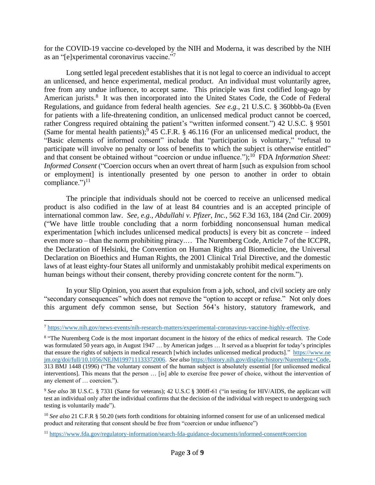for the COVID-19 vaccine co-developed by the NIH and Moderna, it was described by the NIH as an "[e]xperimental coronavirus vaccine."<sup>7</sup>

Long settled legal precedent establishes that it is not legal to coerce an individual to accept an unlicensed, and hence experimental, medical product. An individual must voluntarily agree, free from any undue influence, to accept same. This principle was first codified long-ago by American jurists.<sup>8</sup> It was then incorporated into the United States Code, the Code of Federal Regulations, and guidance from federal health agencies. *See e.g.*, 21 U.S.C. § 360bbb-0a (Even for patients with a life-threatening condition, an unlicensed medical product cannot be coerced, rather Congress required obtaining the patient's "written informed consent.") 42 U.S.C. § 9501 (Same for mental health patients);  $9\,45$  C.F.R. § 46.116 (For an unlicensed medical product, the "Basic elements of informed consent" include that "participation is voluntary," "refusal to participate will involve no penalty or loss of benefits to which the subject is otherwise entitled" and that consent be obtained without "coercion or undue influence."); 10 FDA *Information Sheet: Informed Consent* ("Coercion occurs when an overt threat of harm [such as expulsion from school or employment] is intentionally presented by one person to another in order to obtain compliance." $)^{11}$ 

The principle that individuals should not be coerced to receive an unlicensed medical product is also codified in the law of at least 84 countries and is an accepted principle of international common law. *See, e.g.*, *Abdullahi v. Pfizer, Inc.*, 562 F.3d 163, 184 (2nd Cir. 2009) ("We have little trouble concluding that a norm forbidding nonconsensual human medical experimentation [which includes unlicensed medical products] is every bit as concrete – indeed even more so – than the norm prohibiting piracy.… The Nuremberg Code, Article 7 of the ICCPR, the Declaration of Helsinki, the Convention on Human Rights and Biomedicine, the Universal Declaration on Bioethics and Human Rights, the 2001 Clinical Trial Directive, and the domestic laws of at least eighty-four States all uniformly and unmistakably prohibit medical experiments on human beings without their consent, thereby providing concrete content for the norm.").

In your Slip Opinion, you assert that expulsion from a job, school, and civil society are only "secondary consequences" which does not remove the "option to accept or refuse." Not only does this argument defy common sense, but Section 564's history, statutory framework, and

<sup>7</sup> [https://www.nih.gov/news-events/nih-research-matters/experimental-coronavirus-vaccine-highly-effective.](https://www.nih.gov/news-events/nih-research-matters/experimental-coronavirus-vaccine-highly-effective)

<sup>&</sup>lt;sup>8</sup> "The Nuremberg Code is the most important document in the history of the ethics of medical research. The Code was formulated 50 years ago, in August 1947 ... by American judges ... It served as a blueprint for today's principles that ensure the rights of subjects in medical research [which includes unlicensed medical products]." [https://www.ne](https://www.nejm.org/doi/full/10.1056/NEJM199711133372006) [jm.org/doi/full/10.1056/NEJM199711133372006.](https://www.nejm.org/doi/full/10.1056/NEJM199711133372006) *See also* [https://history.nih.gov/display/history/Nuremberg+Code,](https://history.nih.gov/display/history/Nuremberg+Code) 313 BMJ 1448 (1996) ("The voluntary consent of the human subject is absolutely essential [for unlicensed medical interventions]. This means that the person … [is] able to exercise free power of choice, without the intervention of any element of … coercion.").

<sup>&</sup>lt;sup>9</sup> See also 38 U.S.C. § 7331 (Same for veterans); 42 U.S.C § 300ff-61 ("in testing for HIV/AIDS, the applicant will test an individual only after the individual confirms that the decision of the individual with respect to undergoing such testing is voluntarily made").

<sup>&</sup>lt;sup>10</sup> See also 21 C.F.R § 50.20 (sets forth conditions for obtaining informed consent for use of an unlicensed medical product and reiterating that consent should be free from "coercion or undue influence")

<sup>11</sup> <https://www.fda.gov/regulatory-information/search-fda-guidance-documents/informed-consent#coercion>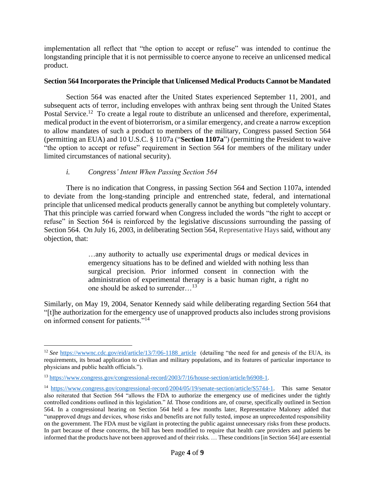implementation all reflect that "the option to accept or refuse" was intended to continue the longstanding principle that it is not permissible to coerce anyone to receive an unlicensed medical product.

# **Section 564 Incorporates the Principle that Unlicensed Medical Products Cannot be Mandated**

Section 564 was enacted after the United States experienced September 11, 2001, and subsequent acts of terror, including envelopes with anthrax being sent through the United States Postal Service.<sup>12</sup> To create a legal route to distribute an unlicensed and therefore, experimental, medical product in the event of bioterrorism, or a similar emergency, and create a narrow exception to allow mandates of such a product to members of the military, Congress passed Section 564 (permitting an EUA) and 10 U.S.C. § 1107a ("**Section 1107a**") (permitting the President to waive "the option to accept or refuse" requirement in Section 564 for members of the military under limited circumstances of national security).

# *i. Congress' Intent When Passing Section 564*

There is no indication that Congress, in passing Section 564 and Section 1107a, intended to deviate from the long-standing principle and entrenched state, federal, and international principle that unlicensed medical products generally cannot be anything but completely voluntary. That this principle was carried forward when Congress included the words "the right to accept or refuse" in Section 564 is reinforced by the legislative discussions surrounding the passing of Section 564. On July 16, 2003, in deliberating Section 564, Representative Hays said, without any objection, that:

> …any authority to actually use experimental drugs or medical devices in emergency situations has to be defined and wielded with nothing less than surgical precision. Prior informed consent in connection with the administration of experimental therapy is a basic human right, a right no one should be asked to surrender…<sup>13</sup>

Similarly, on May 19, 2004, Senator Kennedy said while deliberating regarding Section 564 that "[t]he authorization for the emergency use of unapproved products also includes strong provisions on informed consent for patients."<sup>14</sup>

<sup>&</sup>lt;sup>12</sup> See [https://wwwnc.cdc.gov/eid/article/13/7/06-1188\\_article](https://wwwnc.cdc.gov/eid/article/13/7/06-1188_article) (detailing "the need for and genesis of the EUA, its requirements, its broad application to civilian and military populations, and its features of particular importance to physicians and public health officials.").

<sup>13</sup> [https://www.congress.gov/congressional-record/2003/7/16/house-section/article/h6908-1.](https://www.congress.gov/congressional-record/2003/7/16/house-section/article/h6908-1)

<sup>14</sup> [https://www.congress.gov/congressional-record/2004/05/19/senate-section/article/S5744-1.](https://www.congress.gov/congressional-record/2004/05/19/senate-section/article/S5744-1) This same Senator also reiterated that Section 564 "allows the FDA to authorize the emergency use of medicines under the tightly controlled conditions outlined in this legislation." *Id.* Those conditions are, of course, specifically outlined in Section 564. In a congressional hearing on Section 564 held a few months later, Representative Maloney added that "unapproved drugs and devices, whose risks and benefits are not fully tested, impose an unprecedented responsibility on the government. The FDA must be vigilant in protecting the public against unnecessary risks from these products. In part because of these concerns, the bill has been modified to require that health care providers and patients be informed that the products have not been approved and of their risks. … These conditions [in Section 564] are essential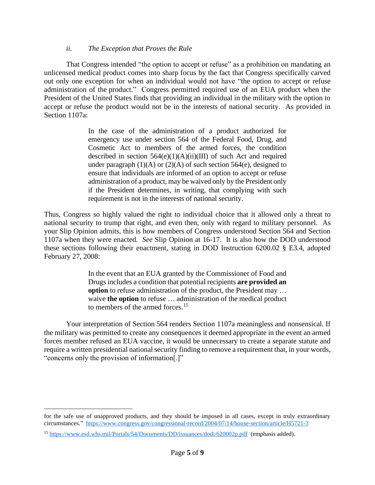# *ii. The Exception that Proves the Rule*

That Congress intended "the option to accept or refuse" as a prohibition on mandating an unlicensed medical product comes into sharp focus by the fact that Congress specifically carved out only one exception for when an individual would not have "the option to accept or refuse administration of the [product.](https://www.law.cornell.edu/definitions/uscode.php?width=840&height=800&iframe=true&def_id=21-USC-309474065-1242874613&term_occur=999&term_src=title:21:chapter:9:subchapter:V:part:E:section:360bbb%E2%80%933)" Congress permitted required use of an EUA product when the President of the United States finds that providing an individual in the military with the option to accept or refuse the product would not be in the interests of national security. As provided in Section 1107a:

> In the case of the administration of a product authorized for emergency use under section 564 of the Federal Food, Drug, and Cosmetic Act to members of the armed forces, the condition described in section  $564(e)(1)(A)(ii)(III)$  of such Act and required under paragraph  $(1)(A)$  or  $(2)(A)$  of such section 564(e), designed to ensure that individuals are informed of an option to accept or refuse administration of a product, may be waived only by the President only if the President determines, in writing, that complying with such requirement is not in the interests of national security.

Thus, Congress so highly valued the right to individual choice that it allowed only a threat to national security to trump that right, and even then, only with regard to military personnel. As your Slip Opinion admits, this is how members of Congress understood Section 564 and Section 1107a when they were enacted. *See* Slip Opinion at 16-17. It is also how the DOD understood these sections following their enactment, stating in DOD Instruction 6200.02 § E3.4, adopted February 27, 2008:

> In the event that an EUA granted by the Commissioner of Food and Drugs includes a condition that potential recipients **are provided an option** to refuse administration of the product, the President may ... waive **the option** to refuse … administration of the medical product to members of the armed forces.<sup>15</sup>

Your interpretation of Section 564 renders Section 1107a meaningless and nonsensical. If the military was permitted to create any consequences it deemed appropriate in the event an armed forces member refused an EUA vaccine, it would be unnecessary to create a separate statute and require a written presidential national security finding to remove a requirement that, in your words, "concerns only the provision of information[.]"

for the safe use of unapproved products, and they should be imposed in all cases, except in truly extraordinary circumstances."<https://www.congress.gov/congressional-record/2004/07/14/house-section/article/H5721-3>

<sup>15</sup> <https://www.esd.whs.mil/Portals/54/Documents/DD/issuances/dodi/620002p.pdf> (emphasis added).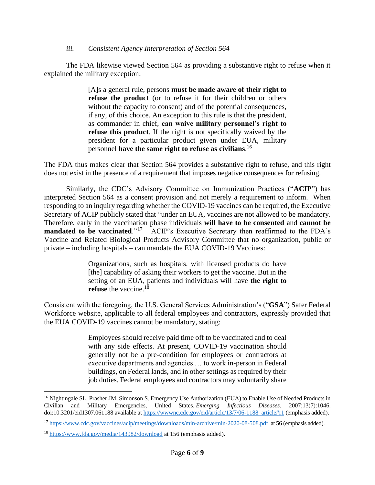## *iii. Consistent Agency Interpretation of Section 564*

The FDA likewise viewed Section 564 as providing a substantive right to refuse when it explained the military exception:

> [A]s a general rule, persons **must be made aware of their right to refuse the product** (or to refuse it for their children or others without the capacity to consent) and of the potential consequences, if any, of this choice. An exception to this rule is that the president, as commander in chief, **can waive military personnel's right to refuse this product**. If the right is not specifically waived by the president for a particular product given under EUA, military personnel **have the same right to refuse as civilians**. 16

The FDA thus makes clear that Section 564 provides a substantive right to refuse, and this right does not exist in the presence of a requirement that imposes negative consequences for refusing.

Similarly, the CDC's Advisory Committee on Immunization Practices ("**ACIP**") has interpreted Section 564 as a consent provision and not merely a requirement to inform. When responding to an inquiry regarding whether the COVID-19 vaccines can be required, the Executive Secretary of ACIP publicly stated that "under an EUA, vaccines are not allowed to be mandatory. Therefore, early in the vaccination phase individuals **will have to be consented** and **cannot be mandated to be vaccinated**."<sup>17</sup> ACIP's Executive Secretary then reaffirmed to the FDA's Vaccine and Related Biological Products Advisory Committee that no organization, public or private – including hospitals – can mandate the EUA COVID-19 Vaccines:

> Organizations, such as hospitals, with licensed products do have [the] capability of asking their workers to get the vaccine. But in the setting of an EUA, patients and individuals will have **the right to refuse** the vaccine.<sup>18</sup>

Consistent with the foregoing, the U.S. General Services Administration's ("**GSA**") Safer Federal Workforce website, applicable to all federal employees and contractors, expressly provided that the EUA COVID-19 vaccines cannot be mandatory, stating:

> Employees should receive paid time off to be vaccinated and to deal with any side effects. At present, COVID-19 vaccination should generally not be a pre-condition for employees or contractors at executive departments and agencies … to work in-person in Federal buildings, on Federal lands, and in other settings as required by their job duties. Federal employees and contractors may voluntarily share

<sup>&</sup>lt;sup>16</sup> Nightingale SL, Prasher JM, Simonson S. Emergency Use Authorization (EUA) to Enable Use of Needed Products in Civilian and Military Emergencies, United States. *Emerging Infectious Diseases*. 2007;13(7):1046. doi:10.3201/eid1307.061188 available at [https://wwwnc.cdc.gov/eid/article/13/7/06-1188\\_article#r1](https://wwwnc.cdc.gov/eid/article/13/7/06-1188_article#r1) (emphasis added).

<sup>17</sup> <https://www.cdc.gov/vaccines/acip/meetings/downloads/min-archive/min-2020-08-508.pdf> at 56 (emphasis added).

<sup>18</sup> <https://www.fda.gov/media/143982/download> at 156 (emphasis added).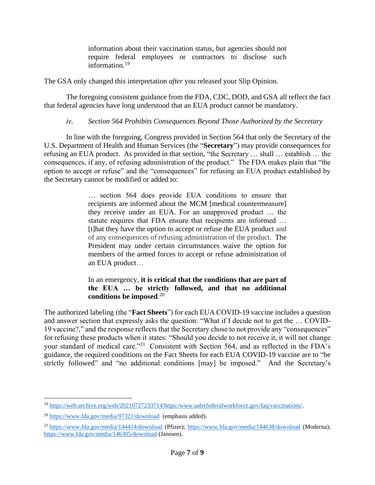information about their vaccination status, but agencies should not require federal employees or contractors to disclose such information.<sup>19</sup>

The GSA only changed this interpretation *after* you released your Slip Opinion.

The foregoing consistent guidance from the FDA, CDC, DOD, and GSA all reflect the fact that federal agencies have long understood that an EUA product cannot be mandatory.

# *iv. Section 564 Prohibits Consequences Beyond Those Authorized by the Secretary*

In line with the foregoing, Congress provided in Section 564 that only the Secretary of the U.S. Department of Health and Human Services (the "**Secretary**") may provide consequences for refusing an EUA product. As provided in that section, "the Secretary … shall … establish … the consequences, if any, of refusing administration of the product." The FDA makes plain that "the option to accept or refuse" and the "consequences" for refusing an EUA product established by the Secretary cannot be modified or added to:

> … section 564 does provide EUA conditions to ensure that recipients are informed about the MCM [medical countermeasure] they receive under an EUA. For an unapproved product … the statute requires that FDA ensure that recipients are informed … [t]hat they have the option to accept or refuse the EUA product and of any consequences of refusing administration of the product. The President may under certain circumstances waive the option for members of the armed forces to accept or refuse administration of an EUA product…

# In an emergency, **it is critical that the conditions that are part of the EUA … be strictly followed, and that no additional conditions be imposed**. 20

The authorized labeling (the "**Fact Sheets**") for each EUA COVID-19 vaccine includes a question and answer section that expressly asks the question: "What if I decide not to get the … COVID-19 vaccine?," and the response reflects that the Secretary chose to not provide any "consequences" for refusing these products when it states: "Should you decide to not receive it, it will not change your standard of medical care."<sup>21</sup> Consistent with Section 564, and as reflected in the FDA's guidance, the required conditions on the Fact Sheets for each EUA COVID-19 vaccine are to "be strictly followed" and "no additional conditions [may] be imposed." And the Secretary's

<sup>19</sup> [https://web.archive.org/web/20210727233714/https:/www.saferfederalworkforce.gov/faq/vaccinations/.](https://web.archive.org/web/20210727233714/https:/www.saferfederalworkforce.gov/faq/vaccinations/)

<sup>20</sup> <https://www.fda.gov/media/97321/download> (emphasis added).

<sup>21</sup> <https://www.fda.gov/media/144414/download> (Pfizer);<https://www.fda.gov/media/144638/download> (Moderna); <https://www.fda.gov/media/146305/download> (Janssen).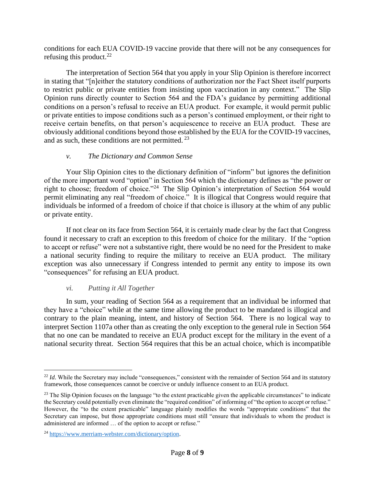conditions for each EUA COVID-19 vaccine provide that there will not be any consequences for refusing this product.<sup>22</sup>

The interpretation of Section 564 that you apply in your Slip Opinion is therefore incorrect in stating that "[n]either the statutory conditions of authorization nor the Fact Sheet itself purports to restrict public or private entities from insisting upon vaccination in any context." The Slip Opinion runs directly counter to Section 564 and the FDA's guidance by permitting additional conditions on a person's refusal to receive an EUA product. For example, it would permit public or private entities to impose conditions such as a person's continued employment, or their right to receive certain benefits, on that person's acquiescence to receive an EUA product. These are obviously additional conditions beyond those established by the EUA for the COVID-19 vaccines, and as such, these conditions are not permitted.<sup>23</sup>

## *v. The Dictionary and Common Sense*

Your Slip Opinion cites to the dictionary definition of "inform" but ignores the definition of the more important word "option" in Section 564 which the dictionary defines as "the power or right to choose; freedom of choice."<sup>24</sup> The Slip Opinion's interpretation of Section 564 would permit eliminating any real "freedom of choice." It is illogical that Congress would require that individuals be informed of a freedom of choice if that choice is illusory at the whim of any public or private entity.

If not clear on its face from Section 564, it is certainly made clear by the fact that Congress found it necessary to craft an exception to this freedom of choice for the military. If the "option to accept or refuse" were not a substantive right, there would be no need for the President to make a national security finding to require the military to receive an EUA product. The military exception was also unnecessary if Congress intended to permit any entity to impose its own "consequences" for refusing an EUA product.

# *vi. Putting it All Together*

In sum, your reading of Section 564 as a requirement that an individual be informed that they have a "choice" while at the same time allowing the product to be mandated is illogical and contrary to the plain meaning, intent, and history of Section 564. There is no logical way to interpret Section 1107a other than as creating the only exception to the general rule in Section 564 that no one can be mandated to receive an EUA product except for the military in the event of a national security threat. Section 564 requires that this be an actual choice, which is incompatible

<sup>&</sup>lt;sup>22</sup> *Id*. While the Secretary may include "consequences," consistent with the remainder of Section 564 and its statutory framework, those consequences cannot be coercive or unduly influence consent to an EUA product.

<sup>&</sup>lt;sup>23</sup> The Slip Opinion focuses on the language "to the extent practicable given the applicable circumstances" to indicate the Secretary could potentially even eliminate the "required condition" of informing of "the option to accept or refuse." However, the "to the extent practicable" language plainly modifies the words "appropriate conditions" that the Secretary can impose, but those appropriate conditions must still "ensure that individuals to whom the product is administered are informed … of the option to accept or refuse."

<sup>24</sup> [https://www.merriam-webster.com/dictionary/option.](https://www.merriam-webster.com/dictionary/option)